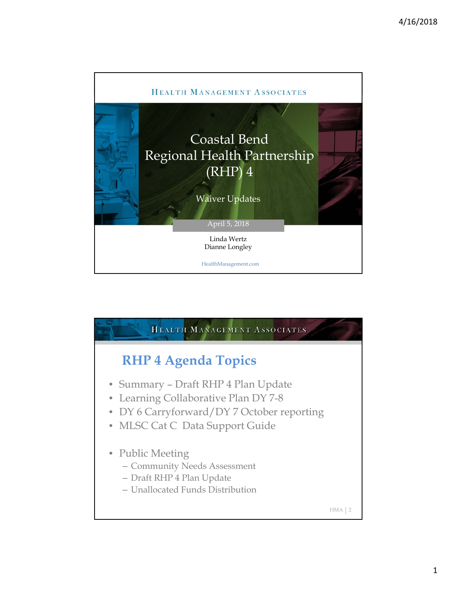

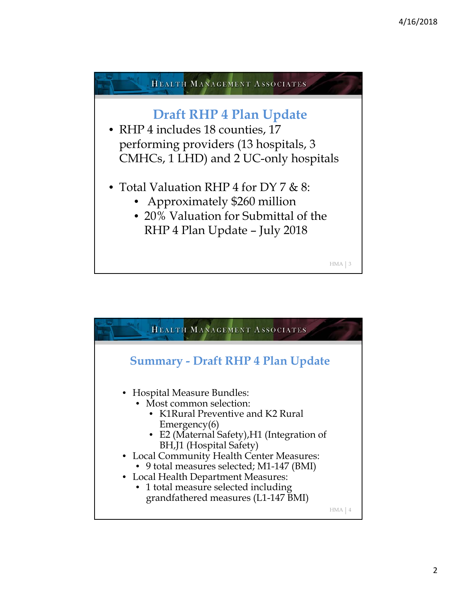

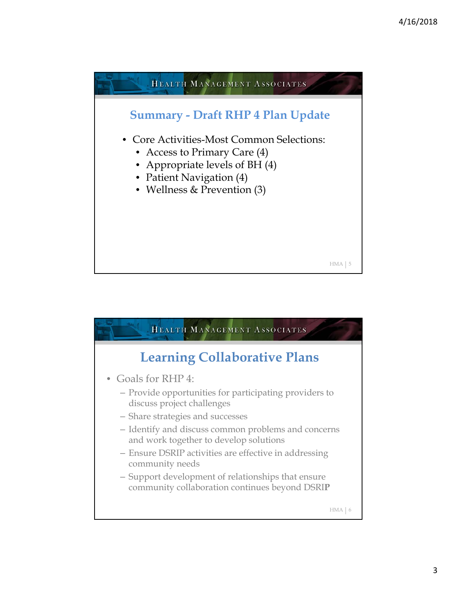

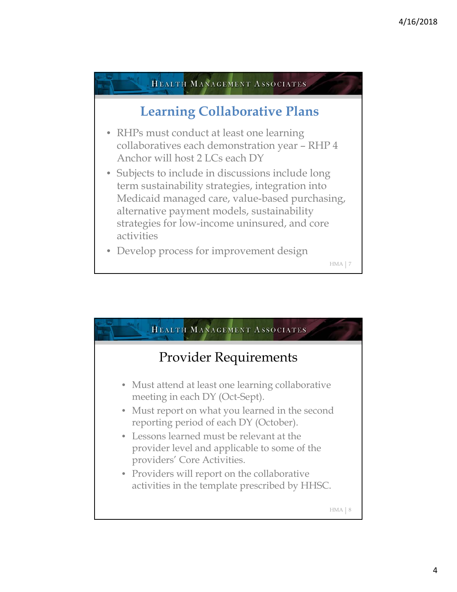

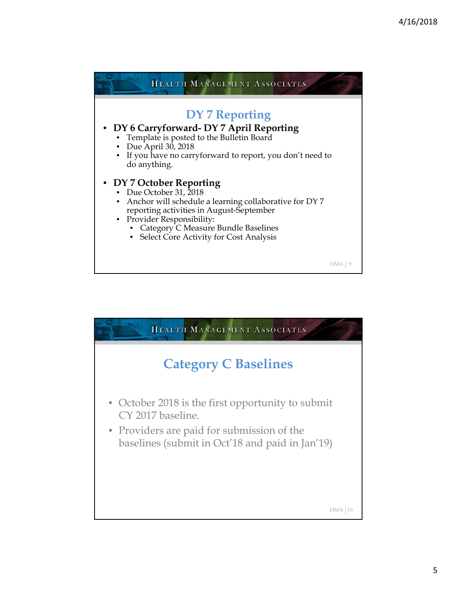

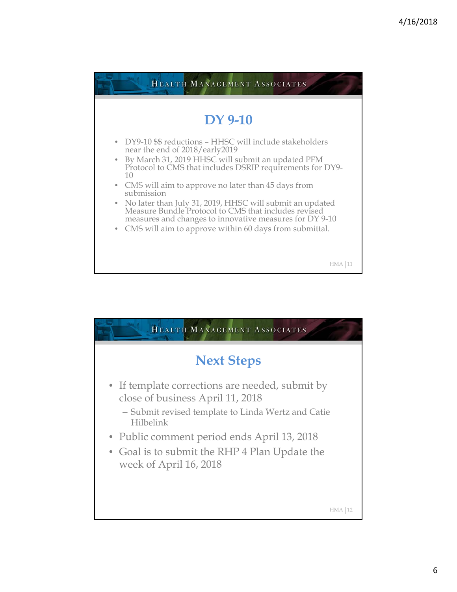

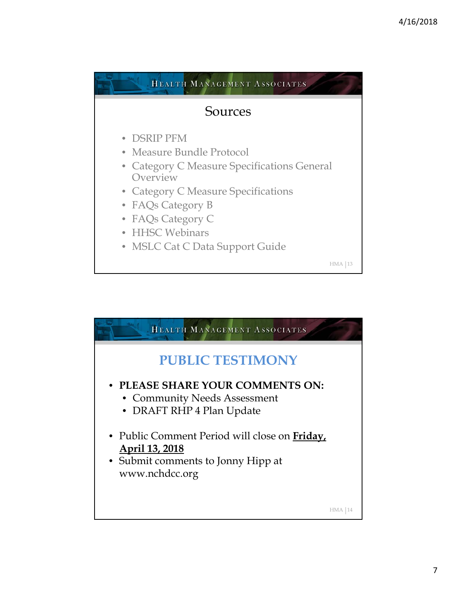

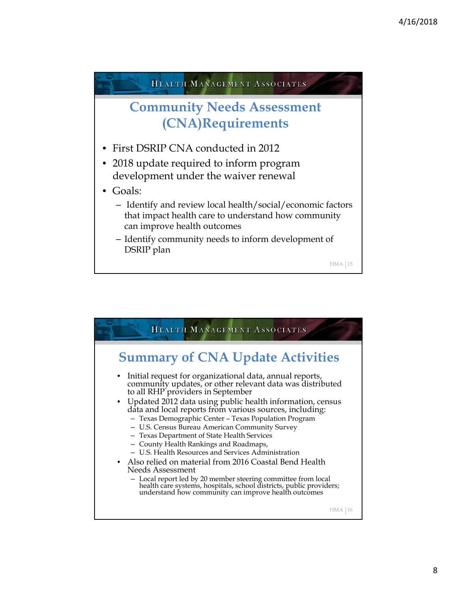

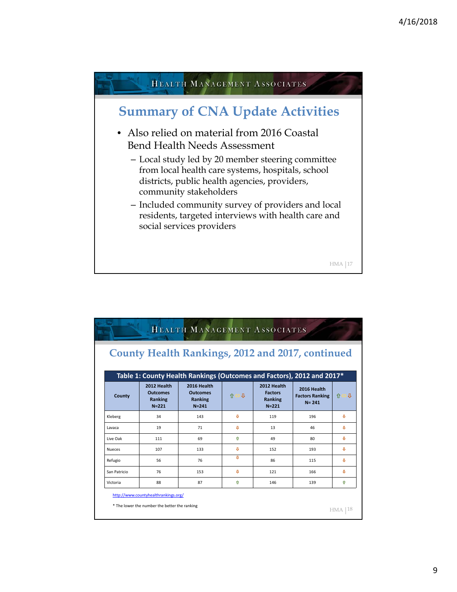

|               |                                                        | <b>County Health Rankings, 2012 and 2017, continued</b>                                                                                 |                    |                                                              |                                                    |          |
|---------------|--------------------------------------------------------|-----------------------------------------------------------------------------------------------------------------------------------------|--------------------|--------------------------------------------------------------|----------------------------------------------------|----------|
| County        | 2012 Health<br><b>Outcomes</b><br>Ranking<br>$N = 221$ | Table 1: County Health Rankings (Outcomes and Factors), 2012 and 2017*<br>2016 Health<br><b>Outcomes</b><br><b>Ranking</b><br>$N = 241$ | 介台具                | 2012 Health<br><b>Factors</b><br><b>Ranking</b><br>$N = 221$ | 2016 Health<br><b>Factors Ranking</b><br>$N = 241$ | ьл<br>介· |
| Kleberg       | 34                                                     | 143                                                                                                                                     | л                  | 119                                                          | 196                                                | a        |
| Lavaca        | 19                                                     | 71                                                                                                                                      | $\mathbf{r}$       | 13                                                           | 46                                                 | a.       |
| Live Oak      | 111                                                    | 69                                                                                                                                      | $\hat{\mathbf{n}}$ | 49                                                           | 80                                                 | a.       |
| <b>Nueces</b> | 107                                                    | 133                                                                                                                                     | $\mathbf{r}$       | 152                                                          | 193                                                | đ.       |
| Refugio       | 56                                                     | 76                                                                                                                                      | $\mathbf{r}$       | 86                                                           | 115                                                | л        |
| San Patricio  | 76                                                     | 153                                                                                                                                     | л                  | 121                                                          | 166                                                | Ð        |
| Victoria      | 88                                                     | 87                                                                                                                                      | ⇑                  | 146                                                          | 139                                                | ⇧        |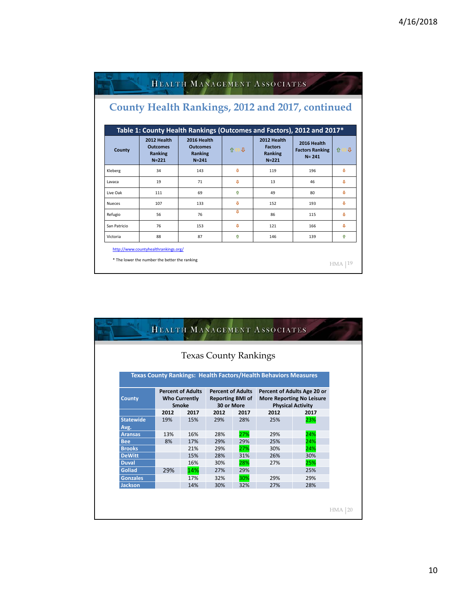|                                |                                                                                                          |              |                                                              | <b>County Health Rankings, 2012 and 2017, continued</b><br>Table 1: County Health Rankings (Outcomes and Factors), 2012 and 2017* |         |  |  |  |  |  |  |  |
|--------------------------------|----------------------------------------------------------------------------------------------------------|--------------|--------------------------------------------------------------|-----------------------------------------------------------------------------------------------------------------------------------|---------|--|--|--|--|--|--|--|
| 2012 Health<br><b>Outcomes</b> | 2016 Health<br><b>Outcomes</b><br><b>Ranking</b><br>$N = 241$                                            | 介台具          | 2012 Health<br><b>Factors</b><br><b>Ranking</b><br>$N = 221$ | 2016 Health<br><b>Factors Ranking</b><br>$N = 241$                                                                                | ١Л<br>⇑ |  |  |  |  |  |  |  |
|                                | 143                                                                                                      | п            | 119                                                          | 196                                                                                                                               | a       |  |  |  |  |  |  |  |
|                                | 71                                                                                                       | л            | 13                                                           | 46                                                                                                                                | o       |  |  |  |  |  |  |  |
|                                | 69                                                                                                       | ⇑            | 49                                                           | 80                                                                                                                                | a.      |  |  |  |  |  |  |  |
|                                | 133                                                                                                      | п            | 152                                                          | 193                                                                                                                               | a       |  |  |  |  |  |  |  |
|                                | 76                                                                                                       | a,           | 86                                                           | 115                                                                                                                               | a       |  |  |  |  |  |  |  |
|                                | 153                                                                                                      | $\mathbf{r}$ | 121                                                          | 166                                                                                                                               | Ð       |  |  |  |  |  |  |  |
|                                | 87                                                                                                       | ⇧            | 146                                                          | 139                                                                                                                               | ⇧       |  |  |  |  |  |  |  |
|                                | Ranking<br>$N = 221$<br>34<br>19<br>111<br>107<br>56<br>76<br>88<br>http://www.countyhealthrankings.org/ |              |                                                              |                                                                                                                                   |         |  |  |  |  |  |  |  |

|                          |                                      |      | <b>Texas County Rankings</b>          |      |                                                                        |      |  |
|--------------------------|--------------------------------------|------|---------------------------------------|------|------------------------------------------------------------------------|------|--|
|                          |                                      |      |                                       |      | <b>Texas County Rankings: Health Factors/Health Behaviors Measures</b> |      |  |
| <b>Percent of Adults</b> |                                      |      | <b>Percent of Adults</b>              |      | Percent of Adults Age 20 or                                            |      |  |
| <b>County</b>            | <b>Who Currently</b><br><b>Smoke</b> |      | <b>Reporting BMI of</b><br>30 or More |      | <b>More Reporting No Leisure</b><br><b>Physical Activity</b>           |      |  |
|                          | 2012                                 | 2017 | 2012                                  | 2017 | 2012                                                                   | 2017 |  |
| <b>Statewide</b>         | 19%                                  | 15%  | 29%                                   | 28%  | 25%                                                                    | 23%  |  |
| Avg.                     |                                      |      |                                       |      |                                                                        |      |  |
| <b>Aransas</b>           | 13%                                  | 16%  | 28%                                   | 27%  | 29%                                                                    | 24%  |  |
| <b>Bee</b>               | 8%                                   | 17%  | 29%                                   | 29%  | 25%                                                                    | 24%  |  |
| <b>Brooks</b>            |                                      | 21%  | 29%                                   | 27%  | 30%                                                                    | 24%  |  |
| <b>DeWitt</b>            |                                      | 15%  | 28%                                   | 31%  | 26%                                                                    | 30%  |  |
| <b>Duval</b>             |                                      | 16%  | 30%                                   | 28%  | 27%                                                                    | 25%  |  |
| <b>Goliad</b>            | 29%                                  | 14%  | 27%                                   | 29%  |                                                                        | 25%  |  |
| <b>Gonzales</b>          |                                      | 17%  | 32%                                   | 30%  | 29%                                                                    | 29%  |  |
| <b>Jackson</b>           |                                      | 14%  | 30%                                   | 32%  | 27%                                                                    | 28%  |  |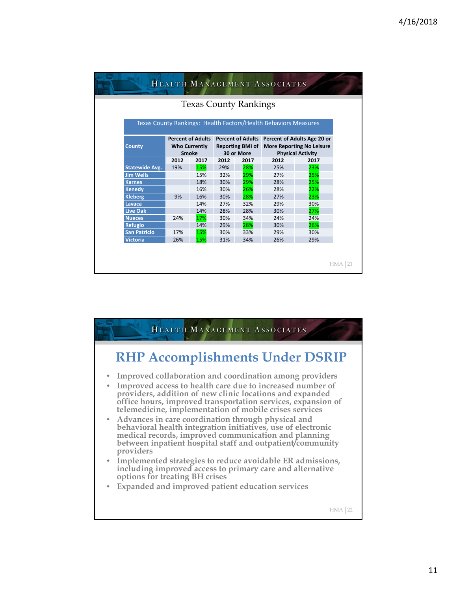| <b>Texas County Rankings</b>                                    |                                                                  |      |                                       |      |                                                                                                               |      |  |
|-----------------------------------------------------------------|------------------------------------------------------------------|------|---------------------------------------|------|---------------------------------------------------------------------------------------------------------------|------|--|
| Texas County Rankings: Health Factors/Health Behaviors Measures |                                                                  |      |                                       |      |                                                                                                               |      |  |
| <b>County</b>                                                   | <b>Percent of Adults</b><br><b>Who Currently</b><br><b>Smoke</b> |      | <b>Reporting BMI of</b><br>30 or More |      | Percent of Adults Percent of Adults Age 20 or<br><b>More Reporting No Leisure</b><br><b>Physical Activity</b> |      |  |
|                                                                 | 2012                                                             | 2017 | 2012                                  | 2017 | 2012                                                                                                          | 2017 |  |
| <b>Statewide Avg.</b>                                           | 19%                                                              | 15%  | 29%                                   | 28%  | 25%                                                                                                           | 23%  |  |
| <b>Jim Wells</b>                                                |                                                                  | 15%  | 32%                                   | 29%  | 27%                                                                                                           | 25%  |  |
| <b>Karnes</b>                                                   |                                                                  | 18%  | 30%                                   | 29%  | 28%                                                                                                           | 25%  |  |
| <b>Kenedy</b>                                                   |                                                                  | 16%  | 30%                                   | 26%  | 28%                                                                                                           | 22%  |  |
| <b>Kleberg</b>                                                  | 9%                                                               | 16%  | 30%                                   | 28%  | 27%                                                                                                           | 23%  |  |
| Lavaca                                                          |                                                                  | 14%  | 27%                                   | 32%  | 29%                                                                                                           | 30%  |  |
| <b>Live Oak</b>                                                 |                                                                  | 14%  | 28%                                   | 28%  | 30%                                                                                                           | 27%  |  |
| <b>Nueces</b>                                                   | 24%                                                              | 17%  | 30%                                   | 34%  | 24%                                                                                                           | 24%  |  |
| <b>Refugio</b>                                                  |                                                                  | 14%  | 29%                                   | 28%  | 30%                                                                                                           | 26%  |  |
|                                                                 | 17%                                                              | 15%  | 30%                                   | 33%  | 29%                                                                                                           | 30%  |  |
| <b>San Patricio</b>                                             |                                                                  |      | 31%                                   | 34%  | 26%                                                                                                           | 29%  |  |

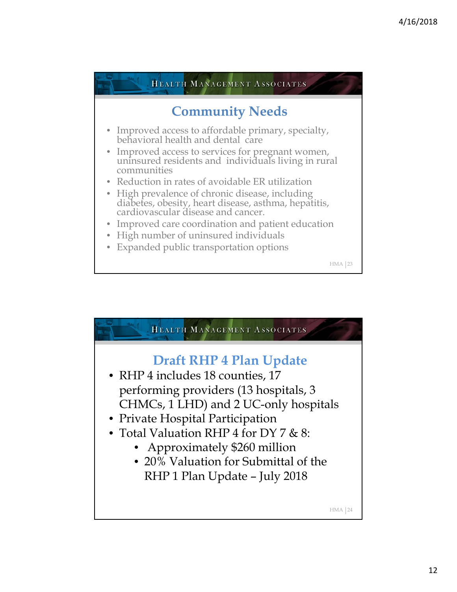

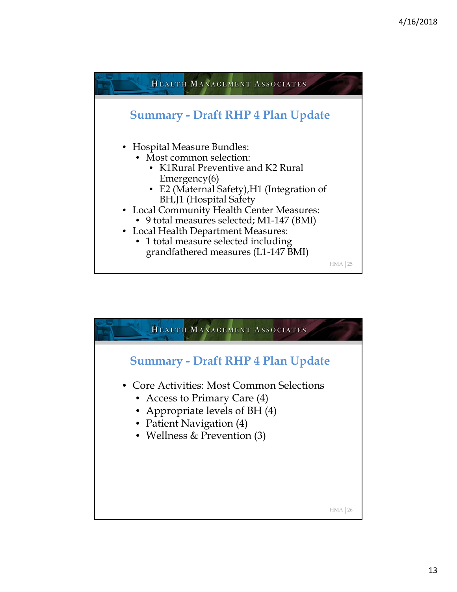

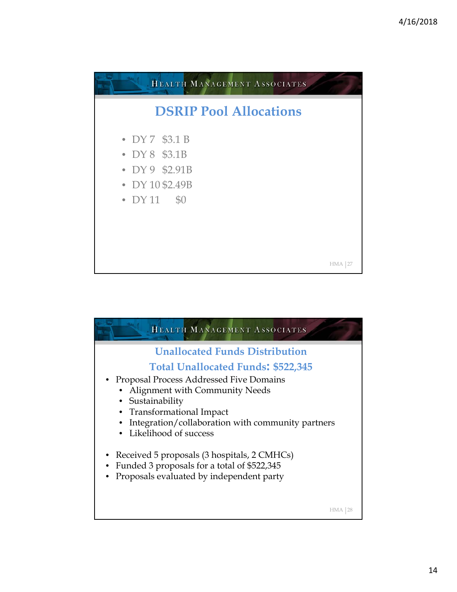